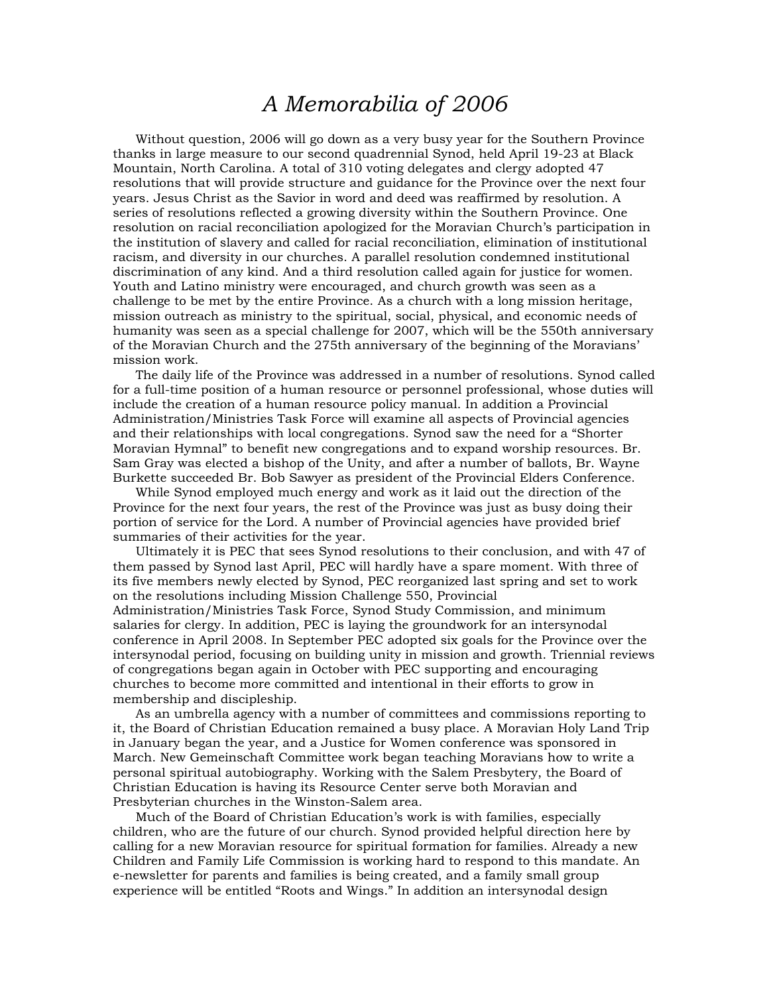## *A Memorabilia of 2006*

 Without question, 2006 will go down as a very busy year for the Southern Province thanks in large measure to our second quadrennial Synod, held April 19-23 at Black Mountain, North Carolina. A total of 310 voting delegates and clergy adopted 47 resolutions that will provide structure and guidance for the Province over the next four years. Jesus Christ as the Savior in word and deed was reaffirmed by resolution. A series of resolutions reflected a growing diversity within the Southern Province. One resolution on racial reconciliation apologized for the Moravian Church's participation in the institution of slavery and called for racial reconciliation, elimination of institutional racism, and diversity in our churches. A parallel resolution condemned institutional discrimination of any kind. And a third resolution called again for justice for women. Youth and Latino ministry were encouraged, and church growth was seen as a challenge to be met by the entire Province. As a church with a long mission heritage, mission outreach as ministry to the spiritual, social, physical, and economic needs of humanity was seen as a special challenge for 2007, which will be the 550th anniversary of the Moravian Church and the 275th anniversary of the beginning of the Moravians' mission work.

 The daily life of the Province was addressed in a number of resolutions. Synod called for a full-time position of a human resource or personnel professional, whose duties will include the creation of a human resource policy manual. In addition a Provincial Administration/Ministries Task Force will examine all aspects of Provincial agencies and their relationships with local congregations. Synod saw the need for a "Shorter Moravian Hymnal" to benefit new congregations and to expand worship resources. Br. Sam Gray was elected a bishop of the Unity, and after a number of ballots, Br. Wayne Burkette succeeded Br. Bob Sawyer as president of the Provincial Elders Conference.

 While Synod employed much energy and work as it laid out the direction of the Province for the next four years, the rest of the Province was just as busy doing their portion of service for the Lord. A number of Provincial agencies have provided brief summaries of their activities for the year.

 Ultimately it is PEC that sees Synod resolutions to their conclusion, and with 47 of them passed by Synod last April, PEC will hardly have a spare moment. With three of its five members newly elected by Synod, PEC reorganized last spring and set to work on the resolutions including Mission Challenge 550, Provincial Administration/Ministries Task Force, Synod Study Commission, and minimum

salaries for clergy. In addition, PEC is laying the groundwork for an intersynodal conference in April 2008. In September PEC adopted six goals for the Province over the intersynodal period, focusing on building unity in mission and growth. Triennial reviews of congregations began again in October with PEC supporting and encouraging churches to become more committed and intentional in their efforts to grow in membership and discipleship.

 As an umbrella agency with a number of committees and commissions reporting to it, the Board of Christian Education remained a busy place. A Moravian Holy Land Trip in January began the year, and a Justice for Women conference was sponsored in March. New Gemeinschaft Committee work began teaching Moravians how to write a personal spiritual autobiography. Working with the Salem Presbytery, the Board of Christian Education is having its Resource Center serve both Moravian and Presbyterian churches in the Winston-Salem area.

 Much of the Board of Christian Education's work is with families, especially children, who are the future of our church. Synod provided helpful direction here by calling for a new Moravian resource for spiritual formation for families. Already a new Children and Family Life Commission is working hard to respond to this mandate. An e-newsletter for parents and families is being created, and a family small group experience will be entitled "Roots and Wings." In addition an intersynodal design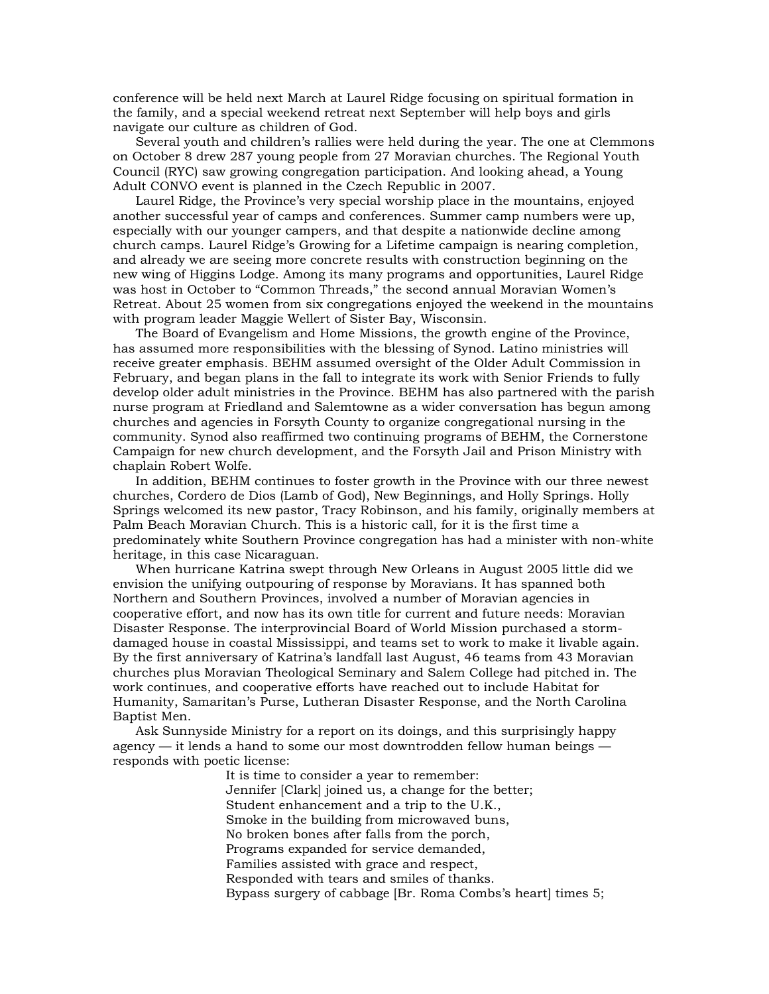conference will be held next March at Laurel Ridge focusing on spiritual formation in the family, and a special weekend retreat next September will help boys and girls navigate our culture as children of God.

 Several youth and children's rallies were held during the year. The one at Clemmons on October 8 drew 287 young people from 27 Moravian churches. The Regional Youth Council (RYC) saw growing congregation participation. And looking ahead, a Young Adult CONVO event is planned in the Czech Republic in 2007.

 Laurel Ridge, the Province's very special worship place in the mountains, enjoyed another successful year of camps and conferences. Summer camp numbers were up, especially with our younger campers, and that despite a nationwide decline among church camps. Laurel Ridge's Growing for a Lifetime campaign is nearing completion, and already we are seeing more concrete results with construction beginning on the new wing of Higgins Lodge. Among its many programs and opportunities, Laurel Ridge was host in October to "Common Threads," the second annual Moravian Women's Retreat. About 25 women from six congregations enjoyed the weekend in the mountains with program leader Maggie Wellert of Sister Bay, Wisconsin.

 The Board of Evangelism and Home Missions, the growth engine of the Province, has assumed more responsibilities with the blessing of Synod. Latino ministries will receive greater emphasis. BEHM assumed oversight of the Older Adult Commission in February, and began plans in the fall to integrate its work with Senior Friends to fully develop older adult ministries in the Province. BEHM has also partnered with the parish nurse program at Friedland and Salemtowne as a wider conversation has begun among churches and agencies in Forsyth County to organize congregational nursing in the community. Synod also reaffirmed two continuing programs of BEHM, the Cornerstone Campaign for new church development, and the Forsyth Jail and Prison Ministry with chaplain Robert Wolfe.

 In addition, BEHM continues to foster growth in the Province with our three newest churches, Cordero de Dios (Lamb of God), New Beginnings, and Holly Springs. Holly Springs welcomed its new pastor, Tracy Robinson, and his family, originally members at Palm Beach Moravian Church. This is a historic call, for it is the first time a predominately white Southern Province congregation has had a minister with non-white heritage, in this case Nicaraguan.

 When hurricane Katrina swept through New Orleans in August 2005 little did we envision the unifying outpouring of response by Moravians. It has spanned both Northern and Southern Provinces, involved a number of Moravian agencies in cooperative effort, and now has its own title for current and future needs: Moravian Disaster Response. The interprovincial Board of World Mission purchased a stormdamaged house in coastal Mississippi, and teams set to work to make it livable again. By the first anniversary of Katrina's landfall last August, 46 teams from 43 Moravian churches plus Moravian Theological Seminary and Salem College had pitched in. The work continues, and cooperative efforts have reached out to include Habitat for Humanity, Samaritan's Purse, Lutheran Disaster Response, and the North Carolina Baptist Men.

 Ask Sunnyside Ministry for a report on its doings, and this surprisingly happy agency — it lends a hand to some our most downtrodden fellow human beings responds with poetic license:

> It is time to consider a year to remember: Jennifer [Clark] joined us, a change for the better; Student enhancement and a trip to the U.K., Smoke in the building from microwaved buns, No broken bones after falls from the porch, Programs expanded for service demanded, Families assisted with grace and respect, Responded with tears and smiles of thanks. Bypass surgery of cabbage [Br. Roma Combs's heart] times 5;